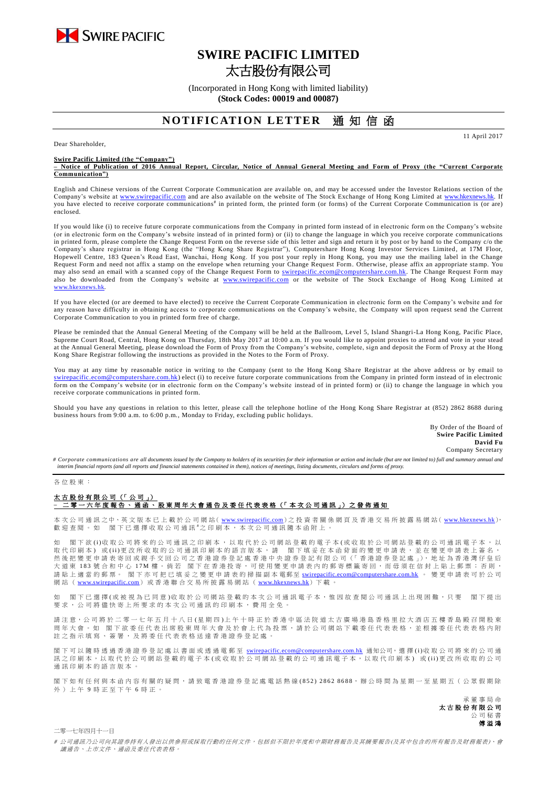

# **SWIRE PACIFIC LIMITED** 太古股份有限公司

(Incorporated in Hong Kong with limited liability) **(Stock Codes: 00019 and 00087)**

## **NOTIFICATION LETTER** 诵 知 信 函

Dear Shareholder,

**Swire Pacific Limited (the "Company")**

**– Notice of Publication of 2016 Annual Report, Circular, Notice of Annual General Meeting and Form of Proxy (the "Current Corporate Communication")**

English and Chinese versions of the Current Corporate Communication are available on, and may be accessed under the Investor Relations section of the Company's website at [www.swirepacific.com](http://www.swirepacific.com/) and are also available on the website of The Stock Exchange of Hong Kong Limited at [www.hkexnews.hk.](http://www.hkexnews.hk/) If you have elected to receive corporate communications<sup>#</sup> in printed form, the printed form (or forms) of the Current Corporate Communication is (or are) enclosed.

If you would like (i) to receive future corporate communications from the Company in printed form instead of in electronic form on the Company's website (or in electronic form on the Company's website instead of in printed form) or (ii) to change the language in which you receive corporate communications in printed form, please complete the Change Request Form on the reverse side of this letter and sign and return it by post or by hand to the Company c/o the Company's share registrar in Hong Kong (the "Hong Kong Share Registrar"), Computershare Hong Kong Investor Services Limited, at 17M Floor, Hopewell Centre, 183 Queen's Road East, Wanchai, Hong Kong. If you post your reply in Hong Kong, you may use the mailing label in the Change Request Form and need not affix a stamp on the envelope when returning your Change Request Form. Otherwise, please affix an appropriate stamp. You may also send an email with a scanned copy of the Change Request Form to *swirepacific.ecom@computershare.com.hk*. The Change Request Form may also be downloaded from the Company's website at [www.swirepacific.com](http://www.swirepacific.com/) or the website of The Stock Exchange of Hong Kong Limited at [www.hkexnews.hk](http://www.hkexnews.hk/).

If you have elected (or are deemed to have elected) to receive the Current Corporate Communication in electronic form on the Company's website and for any reason have difficulty in obtaining access to corporate communications on the Company's website, the Company will upon request send the Current Corporate Communication to you in printed form free of charge.

Please be reminded that the Annual General Meeting of the Company will be held at the Ballroom, Level 5, Island Shangri-La Hong Kong, Pacific Place, Supreme Court Road, Central, Hong Kong on Thursday, 18th May 2017 at 10:00 a.m. If you would like to appoint proxies to attend and vote in your stead at the Annual General Meeting, please download the Form of Proxy from the Company's website, complete, sign and deposit the Form of Proxy at the Hong Kong Share Registrar following the instructions as provided in the Notes to the Form of Proxy.

You may at any time by reasonable notice in writing to the Company (sent to the Hong Kong Share Registrar at the above address or by email to tershare.com.hk) elect (i) to receive future corporate communications from the Company in printed form instead of in electronic form on the Company's website (or in electronic form on the Company's website instead of in printed form) or (ii) to change the language in which you receive corporate communications in printed form.

Should you have any questions in relation to this letter, please call the telephone hotline of the Hong Kong Share Registrar at (852) 2862 8688 during business hours from 9:00 a.m. to 6:00 p.m., Monday to Friday, excluding public holidays.

> By Order of the Board of **Swire Pacific Limited David Fu** Company Secretary

11 April 2017

# Corporate communications are all documents issued by the Company to holders of its securities for their information or action and include (but are not limited to) full and summary annual and *interim financial reports (and all reports and financial statements contained in them), notices of meetings, listing documents, circulars and forms of proxy.*

#### 各 位 股 東 :

### 太古股份有限公司 (「公司」) –<br>二零 一 六 年 度 報 告 丶 通 函 丶 股 東 周 年 大 會 通 告 及 委 任 代 表 表 格(「 本 次 公 司 通 訊 」)之 發 佈 通 知

本 次 公 司 通 訊 之中、英 文 版 本 已 上 載 於 公 司 網 站( [www.swirepacific.com](http://www.swirepacific.com/)) 之 投 資 者 關 係 網 頁 及 香 港 交 易 所 披 露 易 網 站( [www.hkexnews.hk](http://www.hkexnews.hk/)), 歡 迎 查 閱 。 如 閣 下 已 選 擇 收 取 公 司 通 訊 <sup>#</sup>之 印 刷 本 , 本 次 公 司 通 訊 隨 本 函 附 上 。

如 閣下欲 (i)收 取 公 司將 來 的 公 司 通 訊 之 印 刷 本 , 以 取 代 於 公 司 網 的 看 子 本 (或 收 取 於 公 司 網 站 登 載 的 公 司 通 訊 電 子 本 , 以 取代印刷本)或(ii)更改所收取的公司通訊印刷本的語言版本,請 閣下填妥在本函背面的變更申請表,並在變更申請表上簽名, 然後 把 變 更 申 請 表 寄 回 或 親 手 交 回 公 司 之 香 港 證 券 登 記 處 香 港 中 央 證 券 登 記 有 限 公 司 (「 香 港 證 券 登 記 處 」), 地 址 為 香 港 灣 仔 皇 后 大 道 東 183 號 合 和 中 心 17M 樓。 倘 若 閣 下 在 香 港 投 寄 , 可 使 用 變 更 申 請 表 内 的 郵 寄 標 籤 寄 回 , 而 毋 須 在 信 封 上 貼 上 郵 票 ; 否 則 , 請 貼 上 適 當 的 郵 票。 閣下亦可把已填妥之變更申請表的掃描副本 電郵至 [swirepacific.ecom@computershare.com.hk](mailto:swirepacific.ecom@computershare.com.hk) 。 變 更 申請表可於 公 司 網站 ( [www.swirepacific.com](http://www.swirepacific.com/)) 或香港聯合交易所披露易網站 ( [www.hkexnews.hk](http://www.hkexnews.hk/)) 下載。

如 閣 下已 邏 擇( 或 被 視 為 已 同 音 )收 取 於 公 司 綑 站 登 載 的 本 次 引 诵 訊 雷 子 本 , 惟 因 故 杏 関 公 司 诵 訊 上 出 現 困 難 , 只 要 一 閣 下 提 出 要求, 公司將儘 快 寄 上 所 要 求 的 本 次 公 司 通 訊 的 印 刷 本 , 費 用 全 免 。

請注意,公司將於二零一七年五月十八日(星期四)上午十時正於香港中區法院道太古廣場港島香格里拉大酒店五樓香島殿召開股東 周年大會。如 閣下欲委任代表出席股東周年大會及於會上代為投票,請於公司網站下載委任代表表格,並根據委任代表表格內附 註之指示填寫、簽署,及將委任代表表格送達香港證券登記處

閣下可以 隨時 透 過 香 港 證 券 登 記 處 以 書 面 或 透 過 電 郵 至 [swirepacific.ecom@computershare.com.hk](mailto:swirepacific.ecom@computershare.com.hk) 通知公司, 選 擇 (i)收 取 公 司 將 來 的 公 司 通 訊之 印 刷 本, 以 取 代 於 公 司 網 站 登 載 的 電 子 本 ( 或 收 取 於 公 司 網 站 登 載 的 公 司 通 訊 電 子 本, 以 取 代 印 刷 本) 或 (ii) 更 改 所 收 取 的 公 司 通訊印刷本的語言版本

閣下如有任何與本函內容有關的疑問,請致電香港證券登記處電話熱線(852) 2862 8688,辦公時間為星期一至星期五(公眾假期除 外 ) 上 午 9 時 正 至 下 午 6 時正。

> 承董事 局 命 太古股份有限公司 公 司 秘 書 傅溢鴻

二零一七年四月十一日

# 公司通訊乃公司向其證券持有人發出以供參照或採取行動的任何文件,包括但不限於年度和中期財務報告及其摘要報告(及其中包含的所有報告及財務報表)、會 議通告、上市文件、通函及委任代表表格。